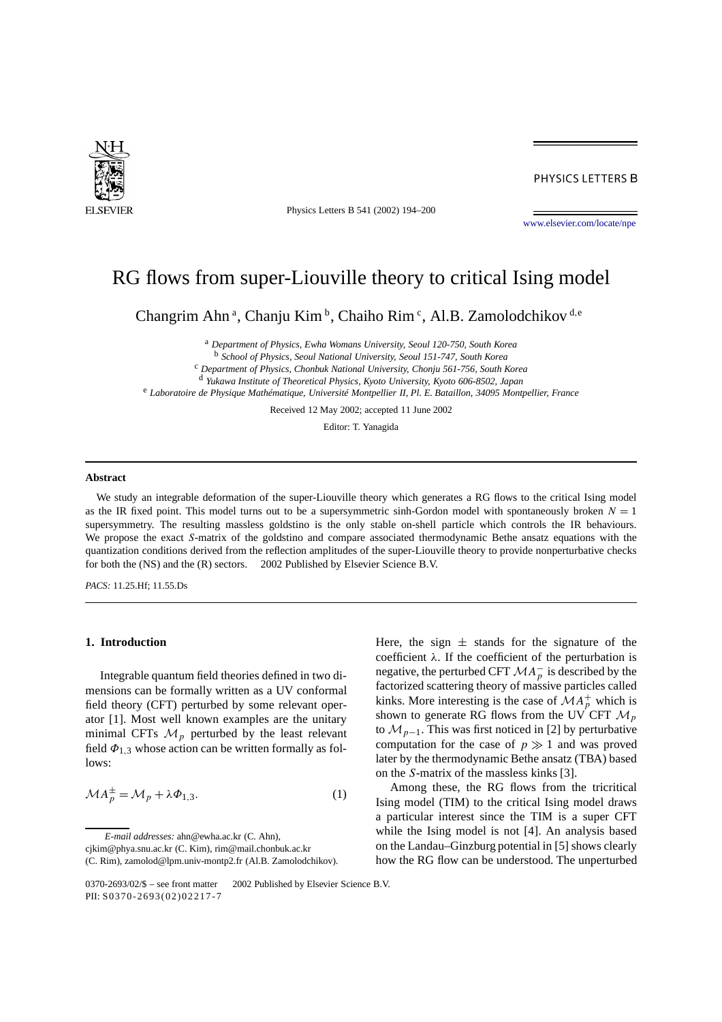

Physics Letters B 541 (2002) 194–200

PHYSICS LETTERS B

[www.elsevier.com/locate/npe](http://www.elsevier.com/locate/npe)

# RG flows from super-Liouville theory to critical Ising model

Changrim Ahn<sup>a</sup>, Chanju Kim<sup>b</sup>, Chaiho Rim<sup>c</sup>, Al.B. Zamolodchikov<sup>d,e</sup>

<sup>a</sup> *Department of Physics, Ewha Womans University, Seoul 120-750, South Korea*

<sup>b</sup> *School of Physics, Seoul National University, Seoul 151-747, South Korea*

<sup>c</sup> *Department of Physics, Chonbuk National University, Chonju 561-756, South Korea*

<sup>d</sup> *Yukawa Institute of Theoretical Physics, Kyoto University, Kyoto 606-8502, Japan*

<sup>e</sup> *Laboratoire de Physique Mathématique, Université Montpellier II, Pl. E. Bataillon, 34095 Montpellier, France*

Received 12 May 2002; accepted 11 June 2002

Editor: T. Yanagida

### **Abstract**

We study an integrable deformation of the super-Liouville theory which generates a RG flows to the critical Ising model as the IR fixed point. This model turns out to be a supersymmetric sinh-Gordon model with spontaneously broken  $N = 1$ supersymmetry. The resulting massless goldstino is the only stable on-shell particle which controls the IR behaviours. We propose the exact *S*-matrix of the goldstino and compare associated thermodynamic Bethe ansatz equations with the quantization conditions derived from the reflection amplitudes of the super-Liouville theory to provide nonperturbative checks for both the (NS) and the (R) sectors.  $\odot$  2002 Published by Elsevier Science B.V.

*PACS:* 11.25.Hf; 11.55.Ds

## **1. Introduction**

Integrable quantum field theories defined in two dimensions can be formally written as a UV conformal field theory (CFT) perturbed by some relevant operator [1]. Most well known examples are the unitary minimal CFTs  $\mathcal{M}_p$  perturbed by the least relevant field  $\Phi_{1,3}$  whose action can be written formally as follows:

$$
\mathcal{M}A_p^{\pm} = \mathcal{M}_p + \lambda \Phi_{1,3}.
$$
 (1)

*E-mail addresses:* ahn@ewha.ac.kr (C. Ahn),

Here, the sign  $\pm$  stands for the signature of the coefficient *λ*. If the coefficient of the perturbation is negative, the perturbed CFT  $MA_p^-$  is described by the factorized scattering theory of massive particles called kinks. More interesting is the case of  $MA_p^+$  which is shown to generate RG flows from the UV CFT  $\mathcal{M}_p$ to  $\mathcal{M}_{p-1}$ . This was first noticed in [2] by perturbative computation for the case of  $p \gg 1$  and was proved later by the thermodynamic Bethe ansatz (TBA) based on the *S*-matrix of the massless kinks [3].

Among these, the RG flows from the tricritical Ising model (TIM) to the critical Ising model draws a particular interest since the TIM is a super CFT while the Ising model is not [4]. An analysis based on the Landau–Ginzburg potential in [5] shows clearly how the RG flow can be understood. The unperturbed

cjkim@phya.snu.ac.kr (C. Kim), rim@mail.chonbuk.ac.kr

<sup>(</sup>C. Rim), zamolod@lpm.univ-montp2.fr (Al.B. Zamolodchikov).

<sup>0370-2693/02/\$ –</sup> see front matter © 2002 Published by Elsevier Science B.V. PII: S0370-2693(02)02217-7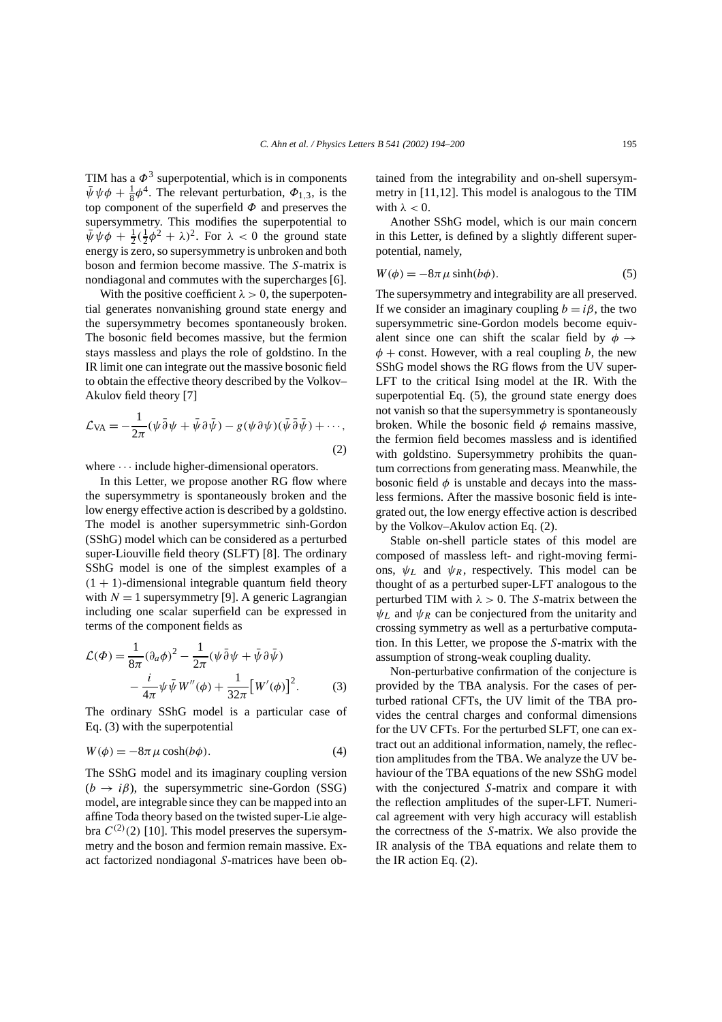TIM has a  $\Phi^3$  superpotential, which is in components  $\bar{\psi}\psi\phi + \frac{1}{8}\phi^4$ . The relevant perturbation,  $\Phi_{1,3}$ , is the top component of the superfield *Φ* and preserves the supersymmetry. This modifies the superpotential to  $\bar{\psi}\psi\phi + \frac{1}{2}(\frac{1}{2}\phi^2 + \lambda)^2$ . For  $\lambda < 0$  the ground state energy is zero, so supersymmetry is unbroken and both boson and fermion become massive. The *S*-matrix is nondiagonal and commutes with the supercharges [6].

With the positive coefficient  $\lambda > 0$ , the superpotential generates nonvanishing ground state energy and the supersymmetry becomes spontaneously broken. The bosonic field becomes massive, but the fermion stays massless and plays the role of goldstino. In the IR limit one can integrate out the massive bosonic field to obtain the effective theory described by the Volkov– Akulov field theory [7]

$$
\mathcal{L}_{\text{VA}} = -\frac{1}{2\pi} (\psi \bar{\partial} \psi + \bar{\psi} \partial \bar{\psi}) - g (\psi \partial \psi) (\bar{\psi} \bar{\partial} \bar{\psi}) + \cdots,
$$
\n(2)

where  $\cdots$  include higher-dimensional operators.

In this Letter, we propose another RG flow where the supersymmetry is spontaneously broken and the low energy effective action is described by a goldstino. The model is another supersymmetric sinh-Gordon (SShG) model which can be considered as a perturbed super-Liouville field theory (SLFT) [8]. The ordinary SShG model is one of the simplest examples of a  $(1 + 1)$ -dimensional integrable quantum field theory with  $N = 1$  supersymmetry [9]. A generic Lagrangian including one scalar superfield can be expressed in terms of the component fields as

$$
\mathcal{L}(\Phi) = \frac{1}{8\pi} (\partial_a \phi)^2 - \frac{1}{2\pi} (\psi \bar{\partial} \psi + \bar{\psi} \partial \bar{\psi})
$$

$$
- \frac{i}{4\pi} \psi \bar{\psi} W''(\phi) + \frac{1}{32\pi} [W'(\phi)]^2.
$$
 (3)

The ordinary SShG model is a particular case of Eq. (3) with the superpotential

$$
W(\phi) = -8\pi \,\mu \cosh(b\phi). \tag{4}
$$

The SShG model and its imaginary coupling version  $(b \rightarrow i\beta)$ , the supersymmetric sine-Gordon (SSG) model, are integrable since they can be mapped into an affine Toda theory based on the twisted super-Lie algebra  $C^{(2)}(2)$  [10]. This model preserves the supersymmetry and the boson and fermion remain massive. Exact factorized nondiagonal *S*-matrices have been obtained from the integrability and on-shell supersymmetry in [11,12]. This model is analogous to the TIM with  $\lambda < 0$ .

Another SShG model, which is our main concern in this Letter, is defined by a slightly different superpotential, namely,

$$
W(\phi) = -8\pi \,\mu \sinh(b\phi). \tag{5}
$$

The supersymmetry and integrability are all preserved. If we consider an imaginary coupling  $b = i\beta$ , the two supersymmetric sine-Gordon models become equivalent since one can shift the scalar field by  $\phi \rightarrow$ *φ* + const. However, with a real coupling *b*, the new SShG model shows the RG flows from the UV super-LFT to the critical Ising model at the IR. With the superpotential Eq. (5), the ground state energy does not vanish so that the supersymmetry is spontaneously broken. While the bosonic field *φ* remains massive, the fermion field becomes massless and is identified with goldstino. Supersymmetry prohibits the quantum corrections from generating mass. Meanwhile, the bosonic field  $\phi$  is unstable and decays into the massless fermions. After the massive bosonic field is integrated out, the low energy effective action is described by the Volkov–Akulov action Eq. (2).

Stable on-shell particle states of this model are composed of massless left- and right-moving fermions,  $\psi_L$  and  $\psi_R$ , respectively. This model can be thought of as a perturbed super-LFT analogous to the perturbed TIM with  $\lambda > 0$ . The *S*-matrix between the  $\psi_L$  and  $\psi_R$  can be conjectured from the unitarity and crossing symmetry as well as a perturbative computation. In this Letter, we propose the *S*-matrix with the assumption of strong-weak coupling duality.

Non-perturbative confirmation of the conjecture is provided by the TBA analysis. For the cases of perturbed rational CFTs, the UV limit of the TBA provides the central charges and conformal dimensions for the UV CFTs. For the perturbed SLFT, one can extract out an additional information, namely, the reflection amplitudes from the TBA. We analyze the UV behaviour of the TBA equations of the new SShG model with the conjectured *S*-matrix and compare it with the reflection amplitudes of the super-LFT. Numerical agreement with very high accuracy will establish the correctness of the *S*-matrix. We also provide the IR analysis of the TBA equations and relate them to the IR action Eq. (2).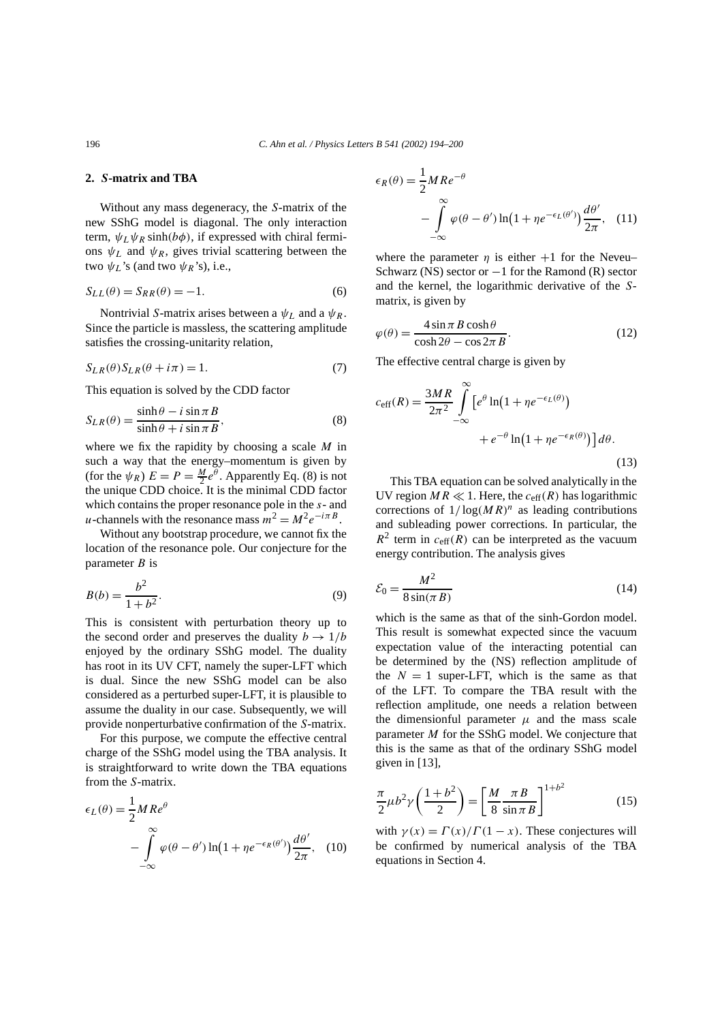# **2.** *S***-matrix and TBA**

Without any mass degeneracy, the *S*-matrix of the new SShG model is diagonal. The only interaction term,  $\psi_L \psi_R \sinh(b\phi)$ , if expressed with chiral fermions  $\psi_L$  and  $\psi_R$ , gives trivial scattering between the two  $\psi_L$ 's (and two  $\psi_R$ 's), i.e.,

$$
S_{LL}(\theta) = S_{RR}(\theta) = -1.
$$
\n(6)

Nontrivial *S*-matrix arises between a  $\psi_L$  and a  $\psi_R$ . Since the particle is massless, the scattering amplitude satisfies the crossing-unitarity relation,

$$
S_{LR}(\theta)S_{LR}(\theta + i\pi) = 1.
$$
 (7)

This equation is solved by the CDD factor

$$
S_{LR}(\theta) = \frac{\sinh \theta - i \sin \pi B}{\sinh \theta + i \sin \pi B},
$$
\n(8)

where we fix the rapidity by choosing a scale *M* in such a way that the energy–momentum is given by (for the  $\psi_R$ )  $E = P = \frac{M}{2}e^{\theta}$ . Apparently Eq. (8) is not the unique CDD choice. It is the minimal CDD factor which contains the proper resonance pole in the *s*- and *u*-channels with the resonance mass  $m^2 = M^2 e^{-i\pi B}$ .

Without any bootstrap procedure, we cannot fix the location of the resonance pole. Our conjecture for the parameter *B* is

$$
B(b) = \frac{b^2}{1 + b^2}.
$$
 (9)

This is consistent with perturbation theory up to the second order and preserves the duality  $b \rightarrow 1/b$ enjoyed by the ordinary SShG model. The duality has root in its UV CFT, namely the super-LFT which is dual. Since the new SShG model can be also considered as a perturbed super-LFT, it is plausible to assume the duality in our case. Subsequently, we will provide nonperturbative confirmation of the *S*-matrix.

For this purpose, we compute the effective central charge of the SShG model using the TBA analysis. It is straightforward to write down the TBA equations from the *S*-matrix.

$$
\epsilon_L(\theta) = \frac{1}{2} M Re^{\theta}
$$
  
- 
$$
\int_{-\infty}^{\infty} \varphi(\theta - \theta') \ln(1 + \eta e^{-\epsilon_R(\theta')}) \frac{d\theta'}{2\pi}, \quad (10)
$$

$$
\epsilon_R(\theta) = \frac{1}{2} M Re^{-\theta}
$$
  
- 
$$
\int_{-\infty}^{\infty} \varphi(\theta - \theta') \ln(1 + \eta e^{-\epsilon_L(\theta')}) \frac{d\theta'}{2\pi}, \quad (11)
$$

where the parameter  $\eta$  is either  $+1$  for the Neveu– Schwarz (NS) sector or  $-1$  for the Ramond (R) sector and the kernel, the logarithmic derivative of the *S*matrix, is given by

$$
\varphi(\theta) = \frac{4\sin\pi B \cosh\theta}{\cosh 2\theta - \cos 2\pi B}.
$$
\n(12)

The effective central charge is given by

$$
c_{\text{eff}}(R) = \frac{3MR}{2\pi^2} \int_{-\infty}^{\infty} \left[ e^{\theta} \ln\left(1 + \eta e^{-\epsilon_L(\theta)}\right) + e^{-\theta} \ln\left(1 + \eta e^{-\epsilon_R(\theta)}\right) \right] d\theta.
$$
\n(13)

This TBA equation can be solved analytically in the UV region  $MR \ll 1$ . Here, the  $c_{\text{eff}}(R)$  has logarithmic corrections of  $1/\log(MR)^n$  as leading contributions and subleading power corrections. In particular, the  $R^2$  term in  $c_{\text{eff}}(R)$  can be interpreted as the vacuum energy contribution. The analysis gives

$$
\mathcal{E}_0 = \frac{M^2}{8\sin(\pi B)}\tag{14}
$$

which is the same as that of the sinh-Gordon model. This result is somewhat expected since the vacuum expectation value of the interacting potential can be determined by the (NS) reflection amplitude of the  $N = 1$  super-LFT, which is the same as that of the LFT. To compare the TBA result with the reflection amplitude, one needs a relation between the dimensionful parameter  $\mu$  and the mass scale parameter *M* for the SShG model. We conjecture that this is the same as that of the ordinary SShG model given in [13],

$$
\frac{\pi}{2}\mu b^2 \gamma \left(\frac{1+b^2}{2}\right) = \left[\frac{M}{8}\frac{\pi B}{\sin \pi B}\right]^{1+b^2} \tag{15}
$$

with  $\gamma(x) = \frac{\Gamma(x)}{\Gamma(1-x)}$ . These conjectures will be confirmed by numerical analysis of the TBA equations in Section 4.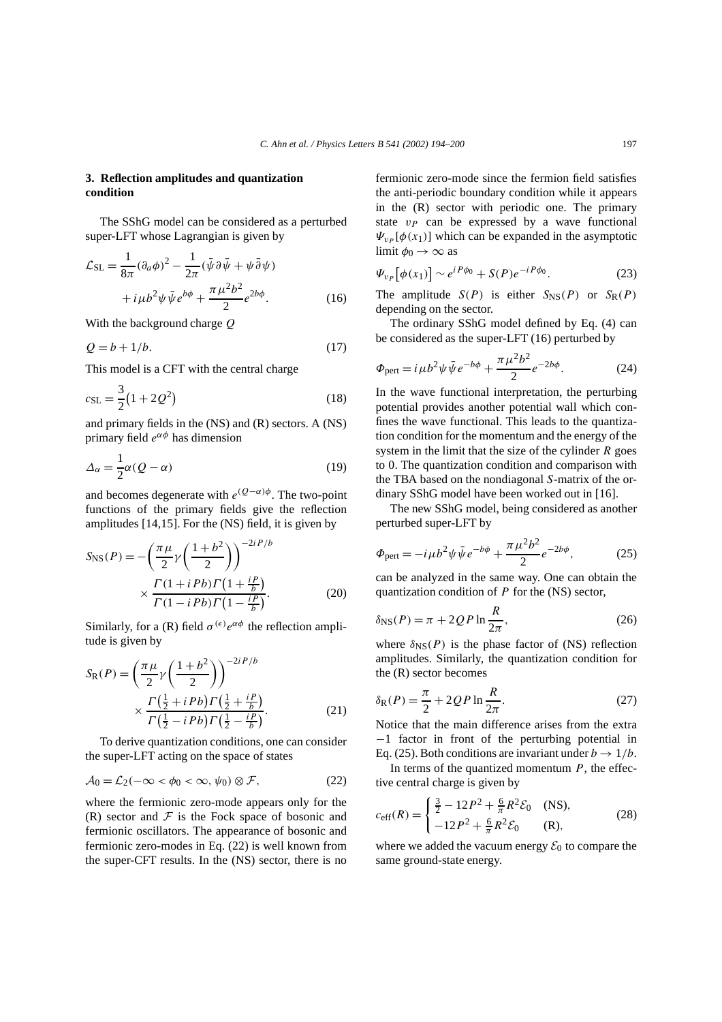# **3. Reflection amplitudes and quantization condition**

The SShG model can be considered as a perturbed super-LFT whose Lagrangian is given by

$$
\mathcal{L}_{\text{SL}} = \frac{1}{8\pi} (\partial_a \phi)^2 - \frac{1}{2\pi} (\bar{\psi} \partial \bar{\psi} + \psi \bar{\partial} \psi) \n+ i \mu b^2 \psi \bar{\psi} e^{b\phi} + \frac{\pi \mu^2 b^2}{2} e^{2b\phi}.
$$
\n(16)

With the background charge *Q*

$$
Q = b + 1/b. \tag{17}
$$

This model is a CFT with the central charge

$$
c_{\rm SL} = \frac{3}{2} (1 + 2Q^2)
$$
 (18)

and primary fields in the (NS) and (R) sectors. A (NS) primary field *eαφ* has dimension

$$
\Delta_{\alpha} = \frac{1}{2}\alpha (Q - \alpha) \tag{19}
$$

and becomes degenerate with  $e^{(Q-\alpha)\phi}$ . The two-point functions of the primary fields give the reflection amplitudes [14,15]. For the (NS) field, it is given by

$$
S_{\rm NS}(P) = -\left(\frac{\pi\mu}{2}\gamma\left(\frac{1+b^2}{2}\right)\right)^{-2iP/b}
$$

$$
\times \frac{\Gamma(1+iPb)\Gamma(1+\frac{iP}{b})}{\Gamma(1-iPb)\Gamma(1-\frac{iP}{b})}.
$$
 (20)

Similarly, for a (R) field  $\sigma^{(\epsilon)}e^{\alpha\phi}$  the reflection amplitude is given by

$$
S_{R}(P) = \left(\frac{\pi \mu}{2} \gamma \left(\frac{1+b^{2}}{2}\right)\right)^{-2iP/b} \times \frac{\Gamma(\frac{1}{2} + iPb)\Gamma(\frac{1}{2} + \frac{ip}{b})}{\Gamma(\frac{1}{2} - iPb)\Gamma(\frac{1}{2} - \frac{ip}{b})}.
$$
 (21)

To derive quantization conditions, one can consider the super-LFT acting on the space of states

$$
\mathcal{A}_0 = \mathcal{L}_2(-\infty < \phi_0 < \infty, \psi_0) \otimes \mathcal{F},\tag{22}
$$

where the fermionic zero-mode appears only for the (R) sector and  $\mathcal F$  is the Fock space of bosonic and fermionic oscillators. The appearance of bosonic and fermionic zero-modes in Eq. (22) is well known from the super-CFT results. In the (NS) sector, there is no fermionic zero-mode since the fermion field satisfies the anti-periodic boundary condition while it appears in the (R) sector with periodic one. The primary state  $v_p$  can be expressed by a wave functional  $\Psi_{v_P}[\phi(x_1)]$  which can be expanded in the asymptotic limit  $\phi_0 \rightarrow \infty$  as

$$
\Psi_{v_P}[\phi(x_1)] \sim e^{iP\phi_0} + S(P)e^{-iP\phi_0}.
$$
 (23)

The amplitude  $S(P)$  is either  $S_{NS}(P)$  or  $S_R(P)$ depending on the sector.

The ordinary SShG model defined by Eq. (4) can be considered as the super-LFT (16) perturbed by

$$
\Phi_{\text{pert}} = i\mu b^2 \psi \bar{\psi} e^{-b\phi} + \frac{\pi \mu^2 b^2}{2} e^{-2b\phi}.
$$
 (24)

In the wave functional interpretation, the perturbing potential provides another potential wall which confines the wave functional. This leads to the quantization condition for the momentum and the energy of the system in the limit that the size of the cylinder *R* goes to 0. The quantization condition and comparison with the TBA based on the nondiagonal *S*-matrix of the ordinary SShG model have been worked out in [16].

The new SShG model, being considered as another perturbed super-LFT by

$$
\Phi_{\text{pert}} = -i\,\mu b^2 \psi \,\bar{\psi} \, e^{-b\phi} + \frac{\pi \,\mu^2 b^2}{2} e^{-2b\phi},\tag{25}
$$

can be analyzed in the same way. One can obtain the quantization condition of *P* for the (NS) sector,

$$
\delta_{\rm NS}(P) = \pi + 2QP \ln \frac{R}{2\pi},\tag{26}
$$

where  $\delta_{\text{NS}}(P)$  is the phase factor of (NS) reflection amplitudes. Similarly, the quantization condition for the (R) sector becomes

$$
\delta_{\mathcal{R}}(P) = \frac{\pi}{2} + 2QP \ln \frac{R}{2\pi}.\tag{27}
$$

Notice that the main difference arises from the extra −1 factor in front of the perturbing potential in Eq. (25). Both conditions are invariant under  $b \to 1/b$ .

In terms of the quantized momentum *P*, the effective central charge is given by

$$
c_{\text{eff}}(R) = \begin{cases} \frac{3}{2} - 12P^2 + \frac{6}{\pi}R^2 \mathcal{E}_0 & (NS), \\ -12P^2 + \frac{6}{\pi}R^2 \mathcal{E}_0 & (R), \end{cases}
$$
(28)

where we added the vacuum energy  $\mathcal{E}_0$  to compare the same ground-state energy.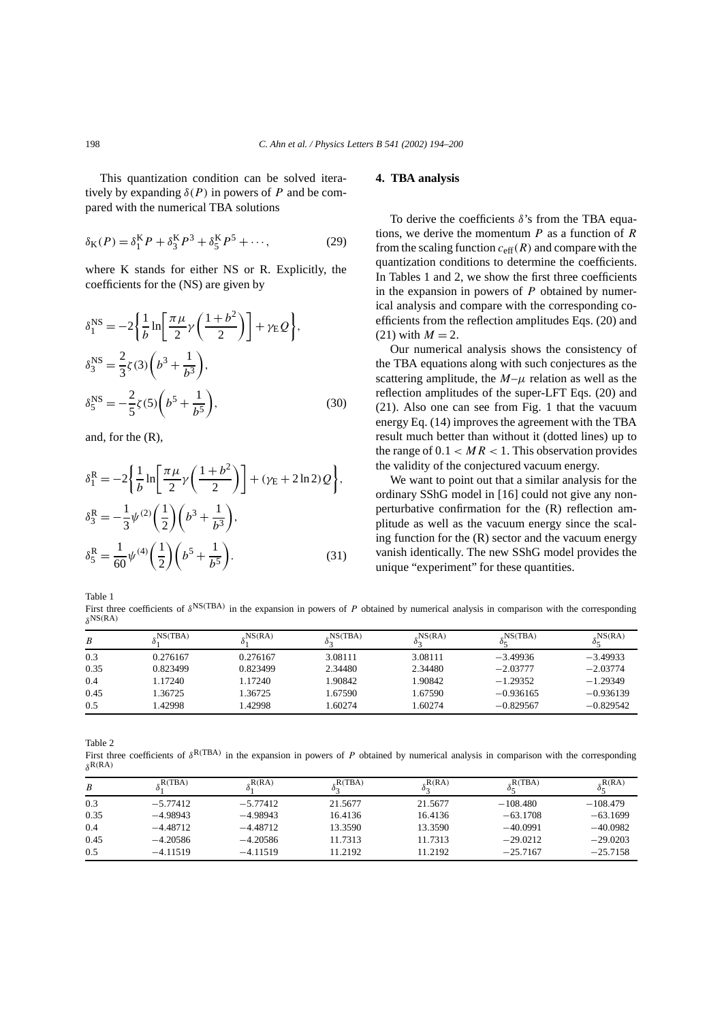This quantization condition can be solved iteratively by expanding  $\delta(P)$  in powers of P and be compared with the numerical TBA solutions

$$
\delta_{\rm K}(P) = \delta_{\rm l}^{\rm K} P + \delta_{\rm 3}^{\rm K} P^3 + \delta_{\rm 5}^{\rm K} P^5 + \cdots,
$$
 (29)

where K stands for either NS or R. Explicitly, the coefficients for the (NS) are given by

$$
\delta_1^{\text{NS}} = -2 \left\{ \frac{1}{b} \ln \left[ \frac{\pi \mu}{2} \gamma \left( \frac{1+b^2}{2} \right) \right] + \gamma \mathbb{E} \mathcal{Q} \right\},\
$$
  

$$
\delta_3^{\text{NS}} = \frac{2}{3} \zeta(3) \left( b^3 + \frac{1}{b^3} \right),\
$$
  

$$
\delta_5^{\text{NS}} = -\frac{2}{5} \zeta(5) \left( b^5 + \frac{1}{b^5} \right),\
$$
 (30)

and, for the (R),

$$
\delta_1^{\rm R} = -2 \left\{ \frac{1}{b} \ln \left[ \frac{\pi \mu}{2} \gamma \left( \frac{1+b^2}{2} \right) \right] + (\gamma_{\rm E} + 2 \ln 2) Q \right\},\
$$
  

$$
\delta_3^{\rm R} = -\frac{1}{3} \psi^{(2)} \left( \frac{1}{2} \right) \left( b^3 + \frac{1}{b^3} \right),\
$$
  

$$
\delta_5^{\rm R} = \frac{1}{60} \psi^{(4)} \left( \frac{1}{2} \right) \left( b^5 + \frac{1}{b^5} \right).
$$
 (31)

#### **4. TBA analysis**

To derive the coefficients *δ*'s from the TBA equations, we derive the momentum *P* as a function of *R* from the scaling function  $c_{\text{eff}}(R)$  and compare with the quantization conditions to determine the coefficients. In Tables 1 and 2, we show the first three coefficients in the expansion in powers of *P* obtained by numerical analysis and compare with the corresponding coefficients from the reflection amplitudes Eqs. (20) and  $(21)$  with  $M = 2$ .

Our numerical analysis shows the consistency of the TBA equations along with such conjectures as the scattering amplitude, the  $M-\mu$  relation as well as the reflection amplitudes of the super-LFT Eqs. (20) and (21). Also one can see from Fig. 1 that the vacuum energy Eq. (14) improves the agreement with the TBA result much better than without it (dotted lines) up to the range of  $0.1 < MR < 1$ . This observation provides the validity of the conjectured vacuum energy.

We want to point out that a similar analysis for the ordinary SShG model in [16] could not give any nonperturbative confirmation for the (R) reflection amplitude as well as the vacuum energy since the scaling function for the  $(R)$  sector and the vacuum energy vanish identically. The new SShG model provides the unique "experiment" for these quantities.

Table 1

First three coefficients of *δ*NS*(*TBA*)* in the expansion in powers of *P* obtained by numerical analysis in comparison with the corresponding *δ*NS*(*RA*)*

| B    | NS(TBA), | NS(RA)   | MS(TBA) | $_{\circ}$ NS(RA) | NS(TBA)     | NS(RA)      |
|------|----------|----------|---------|-------------------|-------------|-------------|
| 0.3  | 0.276167 | 0.276167 | 3.08111 | 3.08111           | $-3.49936$  | $-3.49933$  |
| 0.35 | 0.823499 | 0.823499 | 2.34480 | 2.34480           | $-2.03777$  | $-2.03774$  |
| 0.4  | 1.17240  | 1.17240  | 1.90842 | 1.90842           | $-1.29352$  | $-1.29349$  |
| 0.45 | 1.36725  | 1.36725  | 1.67590 | 1.67590           | $-0.936165$ | $-0.936139$ |
| 0.5  | .42998   | .42998   | 1.60274 | 1.60274           | $-0.829567$ | $-0.829542$ |

Table 2

First three coefficients of *δ*R*(*TBA*)* in the expansion in powers of *P* obtained by numerical analysis in comparison with the corresponding *δ*R*(*RA*)*

| B    | $_{\circ}R(TBA)$ | $_{\circ}R(RA)$ | $_{\circ}R(TBA)$ | $_{\circ}R(RA)$ | $_{c}R(TBA)$ | $_{R}R(RA)$ |
|------|------------------|-----------------|------------------|-----------------|--------------|-------------|
| 0.3  | $-5.77412$       | $-5.77412$      | 21.5677          | 21.5677         | $-108.480$   | $-108.479$  |
| 0.35 | $-4.98943$       | $-4.98943$      | 16.4136          | 16.4136         | $-63.1708$   | $-63.1699$  |
| 0.4  | $-4.48712$       | $-4.48712$      | 13.3590          | 13.3590         | $-40.0991$   | $-40.0982$  |
| 0.45 | $-4.20586$       | $-4.20586$      | 11.7313          | 11.7313         | $-29.0212$   | $-29.0203$  |
| 0.5  | $-4.11519$       | $-4.11519$      | 11.2192          | 11.2192         | $-25.7167$   | $-25.7158$  |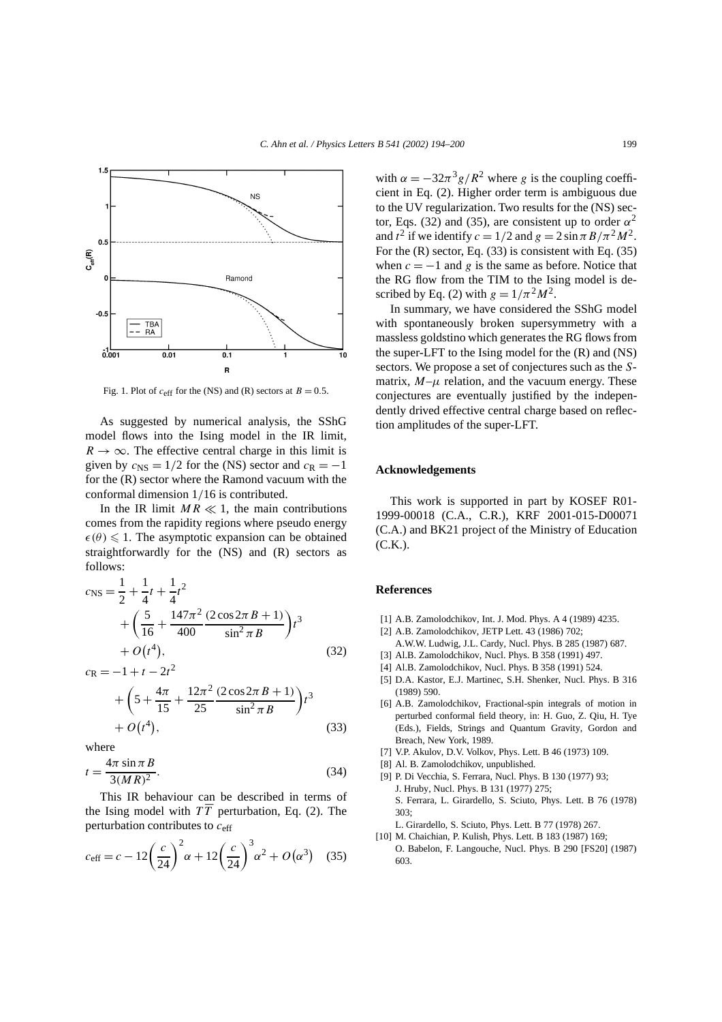

Fig. 1. Plot of  $c_{\text{eff}}$  for the (NS) and (R) sectors at  $B = 0.5$ .

As suggested by numerical analysis, the SShG model flows into the Ising model in the IR limit,  $R \rightarrow \infty$ . The effective central charge in this limit is given by  $c_{\text{NS}} = 1/2$  for the (NS) sector and  $c_{\text{R}} = -1$ for the (R) sector where the Ramond vacuum with the conformal dimension 1*/*16 is contributed.

In the IR limit  $MR \ll 1$ , the main contributions comes from the rapidity regions where pseudo energy  $\epsilon(\theta) \leq 1$ . The asymptotic expansion can be obtained straightforwardly for the (NS) and (R) sectors as follows:

$$
c_{\text{NS}} = \frac{1}{2} + \frac{1}{4}t + \frac{1}{4}t^2
$$
  
+  $\left(\frac{5}{16} + \frac{147\pi^2}{400} \frac{(2\cos 2\pi B + 1)}{\sin^2 \pi B}\right)t^3$   
+  $O(t^4)$ , (32)

$$
c_{\mathsf{R}} = -1 + t - 2t^2
$$
  
+  $\left(5 + \frac{4\pi}{15} + \frac{12\pi^2}{25} \frac{(2\cos 2\pi B + 1)}{\sin^2 \pi B}\right) t^3$   
+  $O(t^4)$ , (33)

where

 $1 + t$ 

$$
t = \frac{4\pi \sin \pi B}{3(MR)^2}.
$$
\n(34)

This IR behaviour can be described in terms of the Ising model with *TT* perturbation, Eq. (2). The perturbation contributes to *c*eff

$$
c_{\text{eff}} = c - 12\left(\frac{c}{24}\right)^2 \alpha + 12\left(\frac{c}{24}\right)^3 \alpha^2 + O\left(\alpha^3\right) \quad (35)
$$

with  $\alpha = -32\pi^3 g/R^2$  where *g* is the coupling coefficient in Eq. (2). Higher order term is ambiguous due to the UV regularization. Two results for the (NS) sector, Eqs. (32) and (35), are consistent up to order  $\alpha^2$ and  $t^2$  if we identify  $c = 1/2$  and  $g = 2 \sin \pi B / \pi^2 M^2$ . For the (R) sector, Eq. (33) is consistent with Eq. (35) when  $c = -1$  and g is the same as before. Notice that the RG flow from the TIM to the Ising model is described by Eq. (2) with  $g = 1/\pi^2 M^2$ .

In summary, we have considered the SShG model with spontaneously broken supersymmetry with a massless goldstino which generates the RG flows from the super-LFT to the Ising model for the (R) and (NS) sectors. We propose a set of conjectures such as the *S*matrix,  $M-\mu$  relation, and the vacuum energy. These conjectures are eventually justified by the independently drived effective central charge based on reflection amplitudes of the super-LFT.

# **Acknowledgements**

This work is supported in part by KOSEF R01- 1999-00018 (C.A., C.R.), KRF 2001-015-D00071 (C.A.) and BK21 project of the Ministry of Education  $(C.K.).$ 

## **References**

- [1] A.B. Zamolodchikov, Int. J. Mod. Phys. A 4 (1989) 4235.
- [2] A.B. Zamolodchikov, JETP Lett. 43 (1986) 702;
- A.W.W. Ludwig, J.L. Cardy, Nucl. Phys. B 285 (1987) 687.
- [3] Al.B. Zamolodchikov, Nucl. Phys. B 358 (1991) 497.
- [4] Al.B. Zamolodchikov, Nucl. Phys. B 358 (1991) 524.
- [5] D.A. Kastor, E.J. Martinec, S.H. Shenker, Nucl. Phys. B 316 (1989) 590.
- [6] A.B. Zamolodchikov, Fractional-spin integrals of motion in perturbed conformal field theory, in: H. Guo, Z. Qiu, H. Tye (Eds.), Fields, Strings and Quantum Gravity, Gordon and Breach, New York, 1989.
- [7] V.P. Akulov, D.V. Volkov, Phys. Lett. B 46 (1973) 109.
- [8] Al. B. Zamolodchikov, unpublished.
- [9] P. Di Vecchia, S. Ferrara, Nucl. Phys. B 130 (1977) 93; J. Hruby, Nucl. Phys. B 131 (1977) 275; S. Ferrara, L. Girardello, S. Sciuto, Phys. Lett. B 76 (1978) 303;

L. Girardello, S. Sciuto, Phys. Lett. B 77 (1978) 267.

[10] M. Chaichian, P. Kulish, Phys. Lett. B 183 (1987) 169; O. Babelon, F. Langouche, Nucl. Phys. B 290 [FS20] (1987) 603.